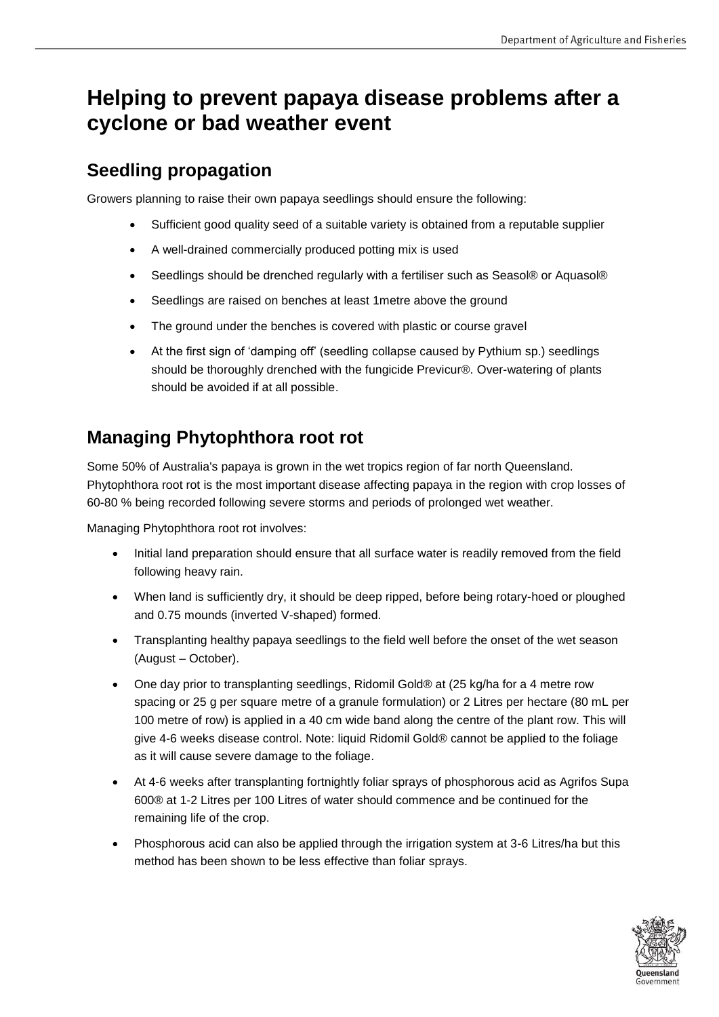# **Helping to prevent papaya disease problems after a cyclone or bad weather event**

## **Seedling propagation**

Growers planning to raise their own papaya seedlings should ensure the following:

- Sufficient good quality seed of a suitable variety is obtained from a reputable supplier
- A well-drained commercially produced potting mix is used
- Seedlings should be drenched regularly with a fertiliser such as Seasol® or Aquasol®
- Seedlings are raised on benches at least 1metre above the ground
- The ground under the benches is covered with plastic or course gravel
- At the first sign of 'damping off' (seedling collapse caused by Pythium sp.) seedlings should be thoroughly drenched with the fungicide Previcur®. Over-watering of plants should be avoided if at all possible.

## **Managing Phytophthora root rot**

Some 50% of Australia's papaya is grown in the wet tropics region of far north Queensland. Phytophthora root rot is the most important disease affecting papaya in the region with crop losses of 60-80 % being recorded following severe storms and periods of prolonged wet weather.

Managing Phytophthora root rot involves:

- Initial land preparation should ensure that all surface water is readily removed from the field following heavy rain.
- When land is sufficiently dry, it should be deep ripped, before being rotary-hoed or ploughed and 0.75 mounds (inverted V-shaped) formed.
- Transplanting healthy papaya seedlings to the field well before the onset of the wet season (August – October).
- One day prior to transplanting seedlings, Ridomil Gold® at (25 kg/ha for a 4 metre row spacing or 25 g per square metre of a granule formulation) or 2 Litres per hectare (80 mL per 100 metre of row) is applied in a 40 cm wide band along the centre of the plant row. This will give 4-6 weeks disease control. Note: liquid Ridomil Gold® cannot be applied to the foliage as it will cause severe damage to the foliage.
- At 4-6 weeks after transplanting fortnightly foliar sprays of phosphorous acid as Agrifos Supa 600® at 1-2 Litres per 100 Litres of water should commence and be continued for the remaining life of the crop.
- Phosphorous acid can also be applied through the irrigation system at 3-6 Litres/ha but this method has been shown to be less effective than foliar sprays.